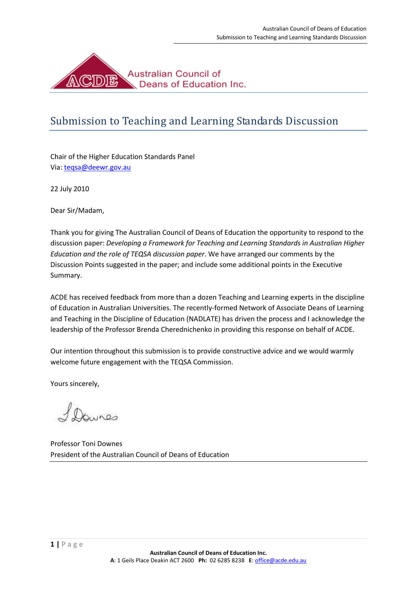

# Submission to Teaching and Learning Standards Discussion

Chair of the Higher Education Standards Panel Via: [teqsa@deewr.gov.au](mailto:teqsa@deewr.gov.au)

22 July 2010

Dear Sir/Madam,

Thank you for giving The Australian Council of Deans of Education the opportunity to respond to the discussion paper: *Developing a Framework for Teaching and Learning Standards in Australian Higher Education and the role of TEQSA discussion paper*. We have arranged our comments by the Discussion Points suggested in the paper; and include some additional points in the Executive Summary.

ACDE has received feedback from more than a dozen Teaching and Learning experts in the discipline of Education in Australian Universities. The recently-formed Network of Associate Deans of Learning and Teaching in the Discipline of Education (NADLATE) has driven the process and I acknowledge the leadership of the Professor Brenda Cherednichenko in providing this response on behalf of ACDE.

Our intention throughout this submission is to provide constructive advice and we would warmly welcome future engagement with the TEQSA Commission.

Yours sincerely,

bures

Professor Toni Downes President of the Australian Council of Deans of Education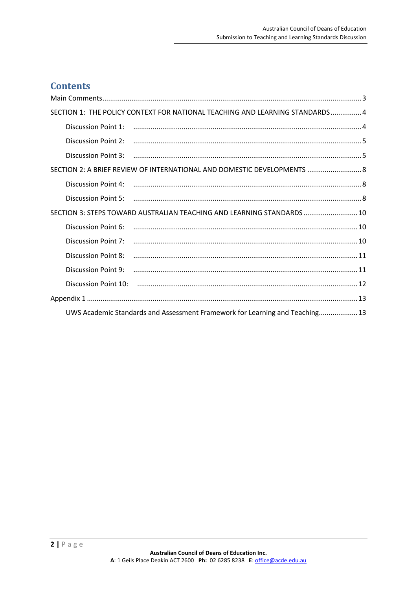### **Contents**

|                                                                              | SECTION 1: THE POLICY CONTEXT FOR NATIONAL TEACHING AND LEARNING STANDARDS 4 |  |
|------------------------------------------------------------------------------|------------------------------------------------------------------------------|--|
| Discussion Point 1:                                                          |                                                                              |  |
|                                                                              |                                                                              |  |
|                                                                              |                                                                              |  |
| SECTION 2: A BRIEF REVIEW OF INTERNATIONAL AND DOMESTIC DEVELOPMENTS  8      |                                                                              |  |
|                                                                              |                                                                              |  |
|                                                                              |                                                                              |  |
| SECTION 3: STEPS TOWARD AUSTRALIAN TEACHING AND LEARNING STANDARDS  10       |                                                                              |  |
| Discussion Point 6:                                                          |                                                                              |  |
| Discussion Point 7:                                                          |                                                                              |  |
| Discussion Point 8:                                                          |                                                                              |  |
| <b>Discussion Point 9:</b>                                                   |                                                                              |  |
|                                                                              |                                                                              |  |
|                                                                              |                                                                              |  |
| UWS Academic Standards and Assessment Framework for Learning and Teaching 13 |                                                                              |  |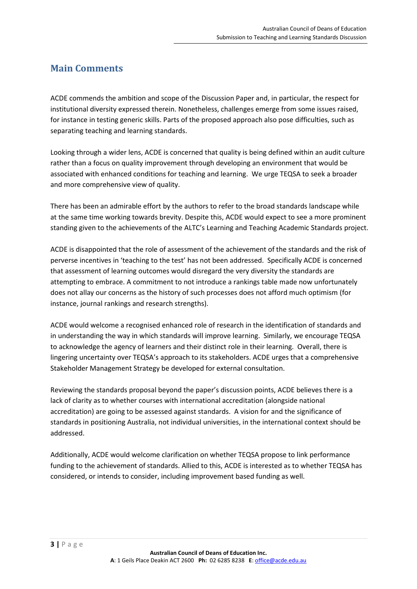### <span id="page-2-0"></span>**Main Comments**

ACDE commends the ambition and scope of the Discussion Paper and, in particular, the respect for institutional diversity expressed therein. Nonetheless, challenges emerge from some issues raised, for instance in testing generic skills. Parts of the proposed approach also pose difficulties, such as separating teaching and learning standards.

Looking through a wider lens, ACDE is concerned that quality is being defined within an audit culture rather than a focus on quality improvement through developing an environment that would be associated with enhanced conditions for teaching and learning. We urge TEQSA to seek a broader and more comprehensive view of quality.

There has been an admirable effort by the authors to refer to the broad standards landscape while at the same time working towards brevity. Despite this, ACDE would expect to see a more prominent standing given to the achievements of the ALTC's Learning and Teaching Academic Standards project.

ACDE is disappointed that the role of assessment of the achievement of the standards and the risk of perverse incentives in 'teaching to the test' has not been addressed. Specifically ACDE is concerned that assessment of learning outcomes would disregard the very diversity the standards are attempting to embrace. A commitment to not introduce a rankings table made now unfortunately does not allay our concerns as the history of such processes does not afford much optimism (for instance, journal rankings and research strengths).

ACDE would welcome a recognised enhanced role of research in the identification of standards and in understanding the way in which standards will improve learning. Similarly, we encourage TEQSA to acknowledge the agency of learners and their distinct role in their learning. Overall, there is lingering uncertainty over TEQSA's approach to its stakeholders. ACDE urges that a comprehensive Stakeholder Management Strategy be developed for external consultation.

Reviewing the standards proposal beyond the paper's discussion points, ACDE believes there is a lack of clarity as to whether courses with international accreditation (alongside national accreditation) are going to be assessed against standards. A vision for and the significance of standards in positioning Australia, not individual universities, in the international context should be addressed.

Additionally, ACDE would welcome clarification on whether TEQSA propose to link performance funding to the achievement of standards. Allied to this, ACDE is interested as to whether TEQSA has considered, or intends to consider, including improvement based funding as well.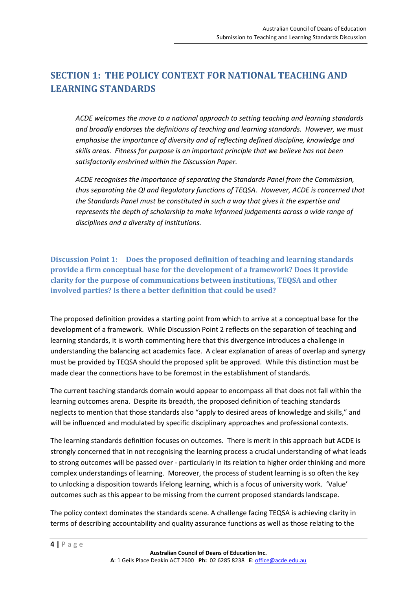### <span id="page-3-0"></span>**SECTION 1: THE POLICY CONTEXT FOR NATIONAL TEACHING AND LEARNING STANDARDS**

*ACDE welcomes the move to a national approach to setting teaching and learning standards and broadly endorses the definitions of teaching and learning standards. However, we must emphasise the importance of diversity and of reflecting defined discipline, knowledge and skills areas. Fitness for purpose is an important principle that we believe has not been satisfactorily enshrined within the Discussion Paper.*

*ACDE recognises the importance of separating the Standards Panel from the Commission, thus separating the QI and Regulatory functions of TEQSA. However, ACDE is concerned that the Standards Panel must be constituted in such a way that gives it the expertise and represents the depth of scholarship to make informed judgements across a wide range of disciplines and a diversity of institutions.*

<span id="page-3-1"></span>**Discussion Point 1: Does the proposed definition of teaching and learning standards provide a firm conceptual base for the development of a framework? Does it provide clarity for the purpose of communications between institutions, TEQSA and other involved parties? Is there a better definition that could be used?**

The proposed definition provides a starting point from which to arrive at a conceptual base for the development of a framework. While Discussion Point 2 reflects on the separation of teaching and learning standards, it is worth commenting here that this divergence introduces a challenge in understanding the balancing act academics face. A clear explanation of areas of overlap and synergy must be provided by TEQSA should the proposed split be approved. While this distinction must be made clear the connections have to be foremost in the establishment of standards.

The current teaching standards domain would appear to encompass all that does not fall within the learning outcomes arena. Despite its breadth, the proposed definition of teaching standards neglects to mention that those standards also "apply to desired areas of knowledge and skills," and will be influenced and modulated by specific disciplinary approaches and professional contexts.

The learning standards definition focuses on outcomes. There is merit in this approach but ACDE is strongly concerned that in not recognising the learning process a crucial understanding of what leads to strong outcomes will be passed over - particularly in its relation to higher order thinking and more complex understandings of learning. Moreover, the process of student learning is so often the key to unlocking a disposition towards lifelong learning, which is a focus of university work. 'Value' outcomes such as this appear to be missing from the current proposed standards landscape.

The policy context dominates the standards scene. A challenge facing TEQSA is achieving clarity in terms of describing accountability and quality assurance functions as well as those relating to the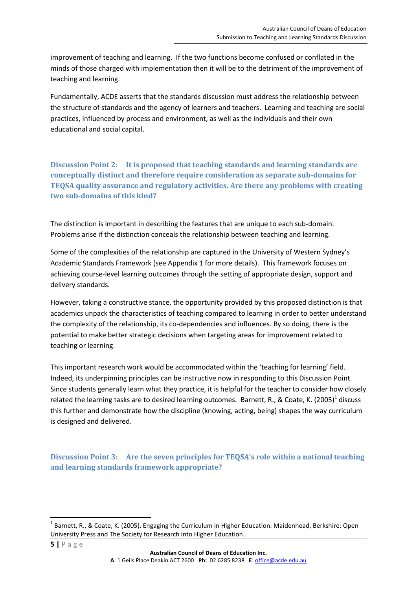improvement of teaching and learning. If the two functions become confused or conflated in the minds of those charged with implementation then it will be to the detriment of the improvement of teaching and learning.

Fundamentally, ACDE asserts that the standards discussion must address the relationship between the structure of standards and the agency of learners and teachers. Learning and teaching are social practices, influenced by process and environment, as well as the individuals and their own educational and social capital.

<span id="page-4-0"></span>**Discussion Point 2: It is proposed that teaching standards and learning standards are conceptually distinct and therefore require consideration as separate sub-domains for TEQSA quality assurance and regulatory activities. Are there any problems with creating two sub-domains of this kind?**

The distinction is important in describing the features that are unique to each sub-domain. Problems arise if the distinction conceals the relationship between teaching and learning.

Some of the complexities of the relationship are captured in the University of Western Sydney's Academic Standards Framework (see Appendix 1 for more details). This framework focuses on achieving course-level learning outcomes through the setting of appropriate design, support and delivery standards.

However, taking a constructive stance, the opportunity provided by this proposed distinction is that academics unpack the characteristics of teaching compared to learning in order to better understand the complexity of the relationship, its co-dependencies and influences. By so doing, there is the potential to make better strategic decisions when targeting areas for improvement related to teaching or learning.

This important research work would be accommodated within the 'teaching for learning' field. Indeed, its underpinning principles can be instructive now in responding to this Discussion Point. Since students generally learn what they practice, it is helpful for the teacher to consider how closely related the learning tasks are to desired learning outcomes. Barnett, R., & Coate, K. (2005)<sup>1</sup> discuss this further and demonstrate how the discipline (knowing, acting, being) shapes the way curriculum is designed and delivered.

<span id="page-4-1"></span>**Discussion Point 3: Are the seven principles for TEQSA's role within a national teaching and learning standards framework appropriate?**

 $\overline{a}$ 

<sup>&</sup>lt;sup>1</sup> Barnett, R., & Coate, K. (2005). Engaging the Curriculum in Higher Education. Maidenhead, Berkshire: Open University Press and The Society for Research into Higher Education.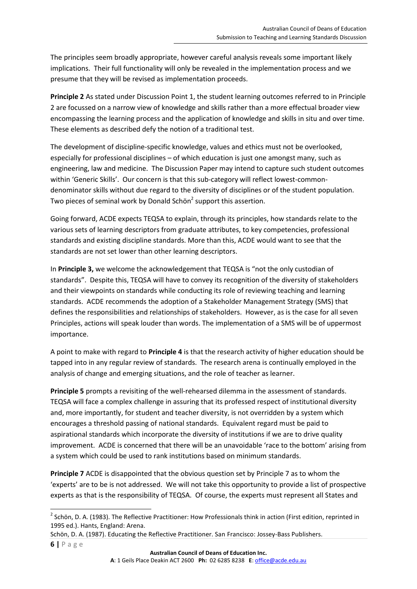The principles seem broadly appropriate, however careful analysis reveals some important likely implications. Their full functionality will only be revealed in the implementation process and we presume that they will be revised as implementation proceeds.

**Principle 2** As stated under Discussion Point 1, the student learning outcomes referred to in Principle 2 are focussed on a narrow view of knowledge and skills rather than a more effectual broader view encompassing the learning process and the application of knowledge and skills in situ and over time. These elements as described defy the notion of a traditional test.

The development of discipline-specific knowledge, values and ethics must not be overlooked, especially for professional disciplines – of which education is just one amongst many, such as engineering, law and medicine. The Discussion Paper may intend to capture such student outcomes within 'Generic Skills'. Our concern is that this sub-category will reflect lowest-commondenominator skills without due regard to the diversity of disciplines or of the student population. Two pieces of seminal work by Donald Schön<sup>2</sup> support this assertion.

Going forward, ACDE expects TEQSA to explain, through its principles, how standards relate to the various sets of learning descriptors from graduate attributes, to key competencies, professional standards and existing discipline standards. More than this, ACDE would want to see that the standards are not set lower than other learning descriptors.

In **Principle 3,** we welcome the acknowledgement that TEQSA is "not the only custodian of standards". Despite this, TEQSA will have to convey its recognition of the diversity of stakeholders and their viewpoints on standards while conducting its role of reviewing teaching and learning standards. ACDE recommends the adoption of a Stakeholder Management Strategy (SMS) that defines the responsibilities and relationships of stakeholders. However, as is the case for all seven Principles, actions will speak louder than words. The implementation of a SMS will be of uppermost importance.

A point to make with regard to **Principle 4** is that the research activity of higher education should be tapped into in any regular review of standards. The research arena is continually employed in the analysis of change and emerging situations, and the role of teacher as learner.

**Principle 5** prompts a revisiting of the well-rehearsed dilemma in the assessment of standards. TEQSA will face a complex challenge in assuring that its professed respect of institutional diversity and, more importantly, for student and teacher diversity, is not overridden by a system which encourages a threshold passing of national standards. Equivalent regard must be paid to aspirational standards which incorporate the diversity of institutions if we are to drive quality improvement. ACDE is concerned that there will be an unavoidable 'race to the bottom' arising from a system which could be used to rank institutions based on minimum standards.

**Principle 7** ACDE is disappointed that the obvious question set by Principle 7 as to whom the 'experts' are to be is not addressed. We will not take this opportunity to provide a list of prospective experts as that is the responsibility of TEQSA. Of course, the experts must represent all States and

**.** 

<sup>&</sup>lt;sup>2</sup> Schön, D. A. (1983). The Reflective Practitioner: How Professionals think in action (First edition, reprinted in 1995 ed.). Hants, England: Arena.

Schön, D. A. (1987). Educating the Reflective Practitioner. San Francisco: Jossey-Bass Publishers.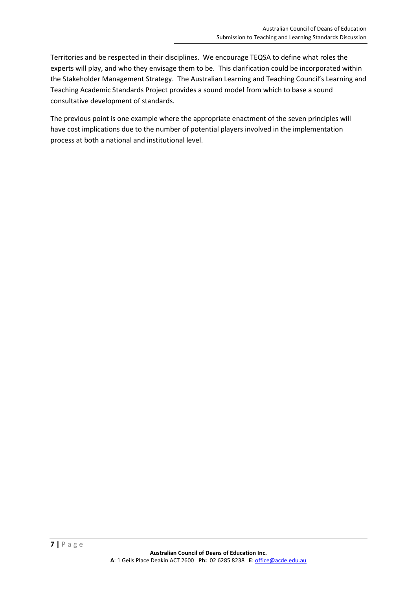Territories and be respected in their disciplines. We encourage TEQSA to define what roles the experts will play, and who they envisage them to be. This clarification could be incorporated within the Stakeholder Management Strategy. The Australian Learning and Teaching Council's Learning and Teaching Academic Standards Project provides a sound model from which to base a sound consultative development of standards.

The previous point is one example where the appropriate enactment of the seven principles will have cost implications due to the number of potential players involved in the implementation process at both a national and institutional level.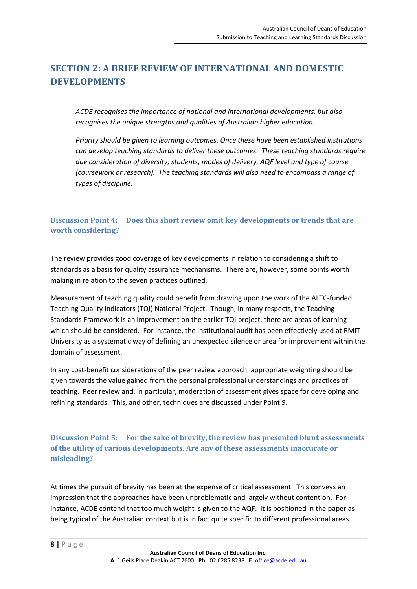### <span id="page-7-0"></span>**SECTION 2: A BRIEF REVIEW OF INTERNATIONAL AND DOMESTIC DEVELOPMENTS**

*ACDE recognises the importance of national and international developments, but also recognises the unique strengths and qualities of Australian higher education.* 

*Priority should be given to learning outcomes. Once these have been established institutions can develop teaching standards to deliver these outcomes. These teaching standards require due consideration of diversity; students, modes of delivery, AQF level and type of course (coursework or research). The teaching standards will also need to encompass a range of types of discipline.* 

#### <span id="page-7-1"></span>**Discussion Point 4: Does this short review omit key developments or trends that are worth considering?**

The review provides good coverage of key developments in relation to considering a shift to standards as a basis for quality assurance mechanisms. There are, however, some points worth making in relation to the seven practices outlined.

Measurement of teaching quality could benefit from drawing upon the work of the ALTC-funded Teaching Quality Indicators (TQI) National Project. Though, in many respects, the Teaching Standards Framework is an improvement on the earlier TQI project, there are areas of learning which should be considered. For instance, the institutional audit has been effectively used at RMIT University as a systematic way of defining an unexpected silence or area for improvement within the domain of assessment.

In any cost-benefit considerations of the peer review approach, appropriate weighting should be given towards the value gained from the personal professional understandings and practices of teaching. Peer review and, in particular, moderation of assessment gives space for developing and refining standards. This, and other, techniques are discussed under Point 9.

<span id="page-7-2"></span>**Discussion Point 5: For the sake of brevity, the review has presented blunt assessments of the utility of various developments. Are any of these assessments inaccurate or misleading?**

At times the pursuit of brevity has been at the expense of critical assessment. This conveys an impression that the approaches have been unproblematic and largely without contention. For instance, ACDE contend that too much weight is given to the AQF. It is positioned in the paper as being typical of the Australian context but is in fact quite specific to different professional areas.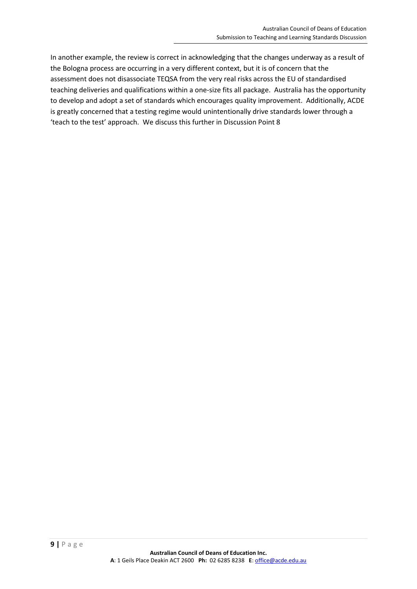In another example, the review is correct in acknowledging that the changes underway as a result of the Bologna process are occurring in a very different context, but it is of concern that the assessment does not disassociate TEQSA from the very real risks across the EU of standardised teaching deliveries and qualifications within a one-size fits all package. Australia has the opportunity to develop and adopt a set of standards which encourages quality improvement. Additionally, ACDE is greatly concerned that a testing regime would unintentionally drive standards lower through a 'teach to the test' approach. We discuss this further in Discussion Point 8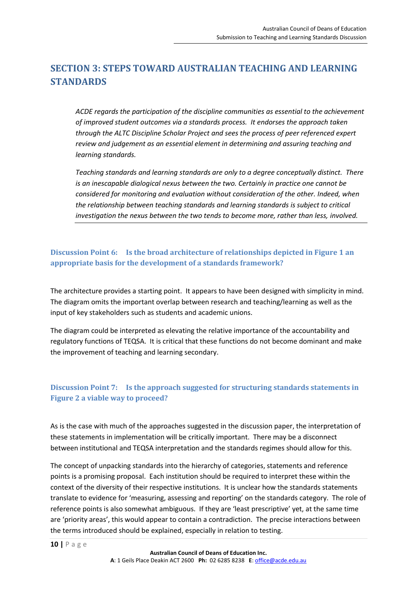### <span id="page-9-0"></span>**SECTION 3: STEPS TOWARD AUSTRALIAN TEACHING AND LEARNING STANDARDS**

*ACDE regards the participation of the discipline communities as essential to the achievement of improved student outcomes via a standards process. It endorses the approach taken through the ALTC Discipline Scholar Project and sees the process of peer referenced expert review and judgement as an essential element in determining and assuring teaching and learning standards.* 

*Teaching standards and learning standards are only to a degree conceptually distinct. There is an inescapable dialogical nexus between the two. Certainly in practice one cannot be considered for monitoring and evaluation without consideration of the other. Indeed, when the relationship between teaching standards and learning standards is subject to critical investigation the nexus between the two tends to become more, rather than less, involved.* 

#### <span id="page-9-1"></span>**Discussion Point 6: Is the broad architecture of relationships depicted in Figure 1 an appropriate basis for the development of a standards framework?**

The architecture provides a starting point. It appears to have been designed with simplicity in mind. The diagram omits the important overlap between research and teaching/learning as well as the input of key stakeholders such as students and academic unions.

The diagram could be interpreted as elevating the relative importance of the accountability and regulatory functions of TEQSA. It is critical that these functions do not become dominant and make the improvement of teaching and learning secondary.

#### <span id="page-9-2"></span>**Discussion Point 7: Is the approach suggested for structuring standards statements in Figure 2 a viable way to proceed?**

As is the case with much of the approaches suggested in the discussion paper, the interpretation of these statements in implementation will be critically important. There may be a disconnect between institutional and TEQSA interpretation and the standards regimes should allow for this.

The concept of unpacking standards into the hierarchy of categories, statements and reference points is a promising proposal. Each institution should be required to interpret these within the context of the diversity of their respective institutions. It is unclear how the standards statements translate to evidence for 'measuring, assessing and reporting' on the standards category. The role of reference points is also somewhat ambiguous. If they are 'least prescriptive' yet, at the same time are 'priority areas', this would appear to contain a contradiction. The precise interactions between the terms introduced should be explained, especially in relation to testing.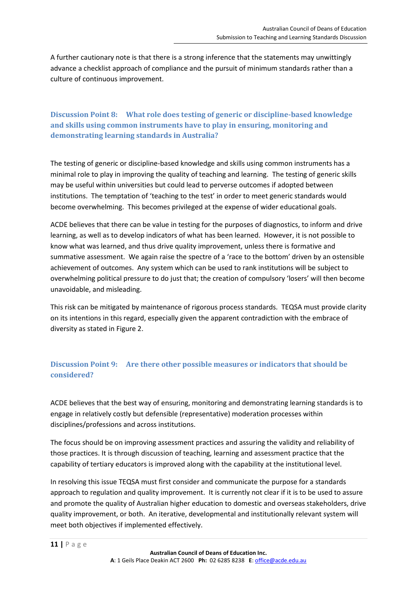A further cautionary note is that there is a strong inference that the statements may unwittingly advance a checklist approach of compliance and the pursuit of minimum standards rather than a culture of continuous improvement.

<span id="page-10-0"></span>**Discussion Point 8: What role does testing of generic or discipline-based knowledge and skills using common instruments have to play in ensuring, monitoring and demonstrating learning standards in Australia?**

The testing of generic or discipline-based knowledge and skills using common instruments has a minimal role to play in improving the quality of teaching and learning. The testing of generic skills may be useful within universities but could lead to perverse outcomes if adopted between institutions. The temptation of 'teaching to the test' in order to meet generic standards would become overwhelming. This becomes privileged at the expense of wider educational goals.

ACDE believes that there can be value in testing for the purposes of diagnostics, to inform and drive learning, as well as to develop indicators of what has been learned. However, it is not possible to know what was learned, and thus drive quality improvement, unless there is formative and summative assessment. We again raise the spectre of a 'race to the bottom' driven by an ostensible achievement of outcomes. Any system which can be used to rank institutions will be subject to overwhelming political pressure to do just that; the creation of compulsory 'losers' will then become unavoidable, and misleading.

This risk can be mitigated by maintenance of rigorous process standards. TEQSA must provide clarity on its intentions in this regard, especially given the apparent contradiction with the embrace of diversity as stated in Figure 2.

#### <span id="page-10-1"></span>**Discussion Point 9: Are there other possible measures or indicators that should be considered?**

ACDE believes that the best way of ensuring, monitoring and demonstrating learning standards is to engage in relatively costly but defensible (representative) moderation processes within disciplines/professions and across institutions.

The focus should be on improving assessment practices and assuring the validity and reliability of those practices. It is through discussion of teaching, learning and assessment practice that the capability of tertiary educators is improved along with the capability at the institutional level.

In resolving this issue TEQSA must first consider and communicate the purpose for a standards approach to regulation and quality improvement. It is currently not clear if it is to be used to assure and promote the quality of Australian higher education to domestic and overseas stakeholders, drive quality improvement, or both. An iterative, developmental and institutionally relevant system will meet both objectives if implemented effectively.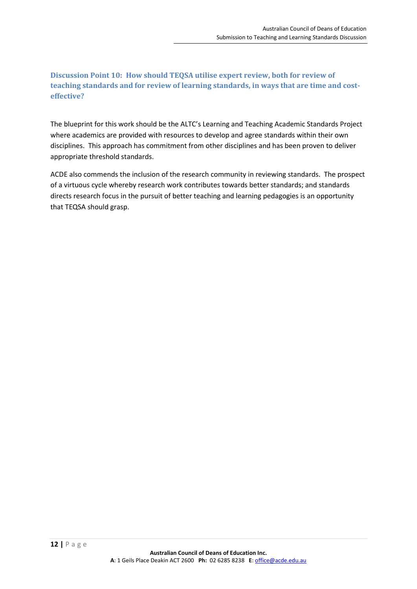<span id="page-11-0"></span>**Discussion Point 10: How should TEQSA utilise expert review, both for review of teaching standards and for review of learning standards, in ways that are time and costeffective?**

The blueprint for this work should be the ALTC's Learning and Teaching Academic Standards Project where academics are provided with resources to develop and agree standards within their own disciplines. This approach has commitment from other disciplines and has been proven to deliver appropriate threshold standards.

ACDE also commends the inclusion of the research community in reviewing standards. The prospect of a virtuous cycle whereby research work contributes towards better standards; and standards directs research focus in the pursuit of better teaching and learning pedagogies is an opportunity that TEQSA should grasp.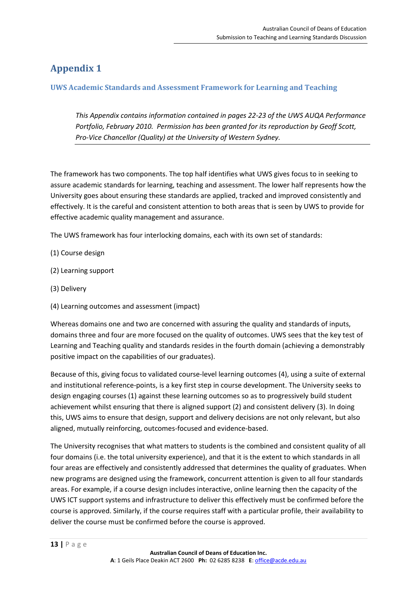## <span id="page-12-0"></span>**Appendix 1**

#### <span id="page-12-1"></span>**UWS Academic Standards and Assessment Framework for Learning and Teaching**

*This Appendix contains information contained in pages 22-23 of the UWS AUQA Performance Portfolio, February 2010. Permission has been granted for its reproduction by Geoff Scott, Pro-Vice Chancellor (Quality) at the University of Western Sydney.* 

The framework has two components. The top half identifies what UWS gives focus to in seeking to assure academic standards for learning, teaching and assessment. The lower half represents how the University goes about ensuring these standards are applied, tracked and improved consistently and effectively. It is the careful and consistent attention to both areas that is seen by UWS to provide for effective academic quality management and assurance.

The UWS framework has four interlocking domains, each with its own set of standards:

- (1) Course design
- (2) Learning support
- (3) Delivery
- (4) Learning outcomes and assessment (impact)

Whereas domains one and two are concerned with assuring the quality and standards of inputs, domains three and four are more focused on the quality of outcomes. UWS sees that the key test of Learning and Teaching quality and standards resides in the fourth domain (achieving a demonstrably positive impact on the capabilities of our graduates).

Because of this, giving focus to validated course-level learning outcomes (4), using a suite of external and institutional reference-points, is a key first step in course development. The University seeks to design engaging courses (1) against these learning outcomes so as to progressively build student achievement whilst ensuring that there is aligned support (2) and consistent delivery (3). In doing this, UWS aims to ensure that design, support and delivery decisions are not only relevant, but also aligned, mutually reinforcing, outcomes-focused and evidence-based.

The University recognises that what matters to students is the combined and consistent quality of all four domains (i.e. the total university experience), and that it is the extent to which standards in all four areas are effectively and consistently addressed that determines the quality of graduates. When new programs are designed using the framework, concurrent attention is given to all four standards areas. For example, if a course design includes interactive, online learning then the capacity of the UWS ICT support systems and infrastructure to deliver this effectively must be confirmed before the course is approved. Similarly, if the course requires staff with a particular profile, their availability to deliver the course must be confirmed before the course is approved.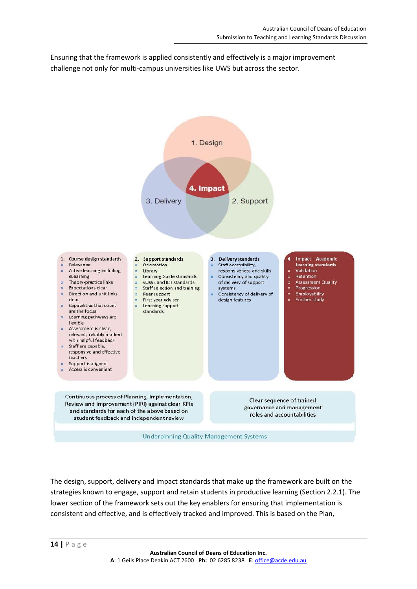Ensuring that the framework is applied consistently and effectively is a major improvement challenge not only for multi-campus universities like UWS but across the sector.



The design, support, delivery and impact standards that make up the framework are built on the strategies known to engage, support and retain students in productive learning (Section 2.2.1). The lower section of the framework sets out the key enablers for ensuring that implementation is consistent and effective, and is effectively tracked and improved. This is based on the Plan,